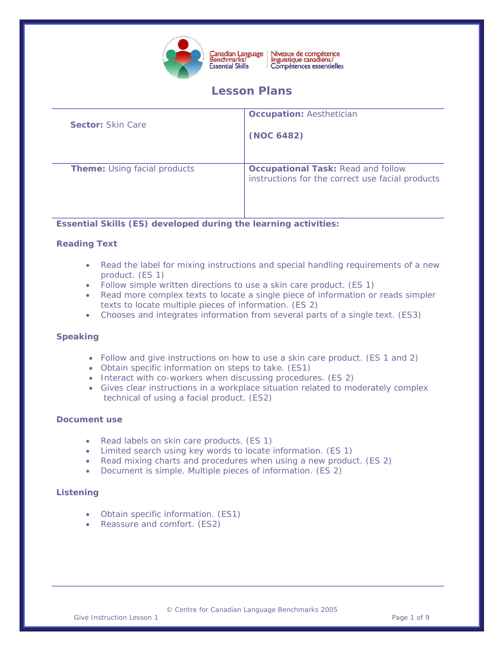

Niveaux de compétence<br>linguistique canadiens/ Compétences essentielles

# **Lesson Plans**

| <b>Sector: Skin Care</b>            | <b>Occupation: Aesthetician</b><br>(NOC 6482)                                                 |
|-------------------------------------|-----------------------------------------------------------------------------------------------|
| <b>Theme:</b> Using facial products | <b>Occupational Task: Read and follow</b><br>instructions for the correct use facial products |

### **Essential Skills (ES) developed during the learning activities:**

### **Reading Text**

- Read the label for mixing instructions and special handling requirements of a new product. (ES 1)
- Follow simple written directions to use a skin care product. (ES 1)
- Read more complex texts to locate a single piece of information or reads simpler texts to locate multiple pieces of information. (ES 2)
- Chooses and integrates information from several parts of a single text. (ES3)

#### **Speaking**

- Follow and give instructions on how to use a skin care product. (ES 1 and 2)
- Obtain specific information on steps to take. (ES1)
- Interact with co-workers when discussing procedures. (ES 2)
- Gives clear instructions in a workplace situation related to moderately complex technical of using a facial product. (ES2)

#### **Document use**

- Read labels on skin care products. (ES 1)
- Limited search using key words to locate information. (ES 1)
- Read mixing charts and procedures when using a new product. (ES 2)
- Document is simple. Multiple pieces of information. (ES 2)

#### **Listening**

- Obtain specific information. (ES1)
- Reassure and comfort. (ES2)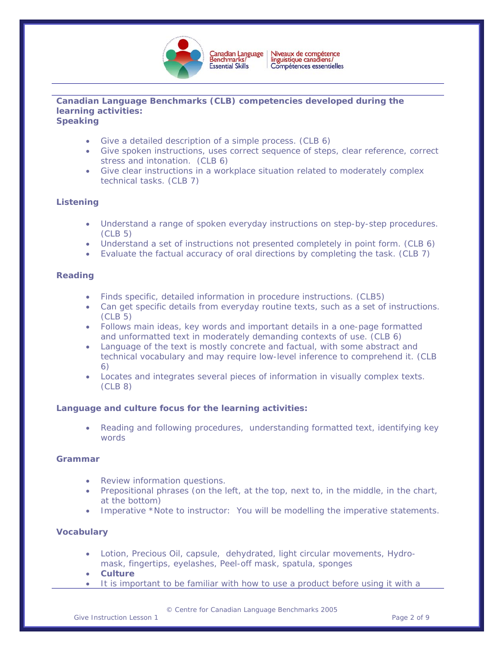

# **Canadian Language Benchmarks (CLB) competencies developed during the learning activities:**

**Speaking** 

- Give a detailed description of a simple process. (CLB 6)
- Give spoken instructions, uses correct sequence of steps, clear reference, correct stress and intonation. (CLB 6)
- Give clear instructions in a workplace situation related to moderately complex technical tasks. (CLB 7)

### **Listening**

- Understand a range of spoken everyday instructions on step-by-step procedures. (CLB 5)
- Understand a set of instructions not presented completely in point form. (CLB 6)
- Evaluate the factual accuracy of oral directions by completing the task. (CLB 7)

#### **Reading**

- Finds specific, detailed information in procedure instructions. (CLB5)
- Can get specific details from everyday routine texts, such as a set of instructions. (CLB 5)
- Follows main ideas, key words and important details in a one-page formatted and unformatted text in moderately demanding contexts of use. (CLB 6)
- Language of the text is mostly concrete and factual, with some abstract and technical vocabulary and may require low-level inference to comprehend it. (CLB 6)
- Locates and integrates several pieces of information in visually complex texts. (CLB 8)

#### **Language and culture focus for the learning activities:**

• Reading and following procedures, understanding formatted text, identifying key words

#### **Grammar**

- Review information questions.
- Prepositional phrases *(on the left, at the top, next to, in the middle, in the chart, at the bottom)*
- Imperative \*Note to instructor: You will be modelling the imperative statements.

#### **Vocabulary**

- Lotion, Precious Oil, capsule, dehydrated, light circular movements, Hydromask, fingertips, eyelashes, Peel-off mask, spatula, sponges
- **Culture**
- It is important to be familiar with how to use a product before using it with a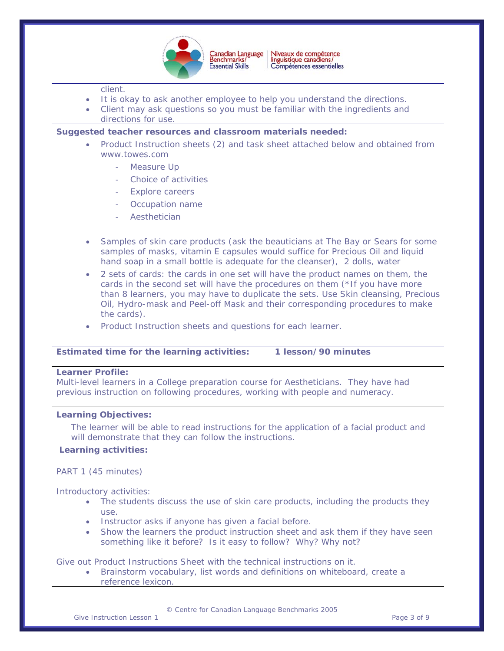

#### client.

- It is okay to ask another employee to help you understand the directions.
- Client may ask questions so you must be familiar with the ingredients and directions for use.

### **Suggested teacher resources and classroom materials needed:**

- Product Instruction sheets (2) and task sheet attached below and obtained from www.towes.com
	- Measure Up
	- Choice of activities
	- Explore careers
	- Occupation name
	- **Aesthetician**
- Samples of skin care products (ask the beauticians at The Bay or Sears for some samples of masks, vitamin E capsules would suffice for Precious Oil and liquid hand soap in a small bottle is adequate for the cleanser), 2 dolls, water
- 2 sets of cards: the cards in one set will have the product names on them, the cards in the second set will have the procedures on them *(\*If you have more than 8 learners, you may have to duplicate the sets. Use Skin cleansing, Precious Oil, Hydro-mask and Peel-off Mask and their corresponding procedures to make the cards).*
- Product Instruction sheets and questions for each learner.

#### **Estimated time for the learning activities: 1 lesson/90 minutes**

### **Learner Profile:**

Multi-level learners in a College preparation course for Aestheticians. They have had previous instruction on following procedures, working with people and numeracy.

#### **Learning Objectives:**

The learner will be able to read instructions for the application of a facial product and will demonstrate that they can follow the instructions.

#### **Learning activities:**

#### PART 1 (45 minutes)

#### Introductory activities:

- The students discuss the use of skin care products, including the products they use.
- Instructor asks if anyone has given a facial before.
- Show the learners the product instruction sheet and ask them if they have seen something like it before? Is it easy to follow? Why? Why not?

Give out Product Instructions Sheet with the technical instructions on it.

• Brainstorm vocabulary, list words and definitions on whiteboard, create a reference lexicon.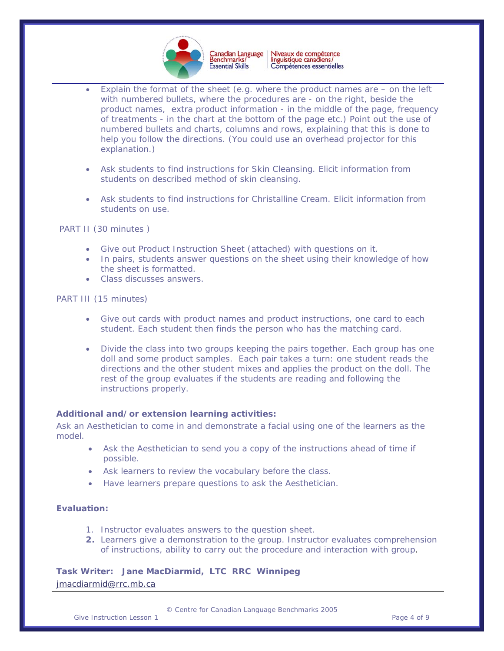

Niveaux de compétence<br>linguistique canadiens/ Canadian Language<br>Benchmarks/ Compétences essentielles

- Explain the format of the sheet (e.g. where the product names are  $-$  on the left with numbered bullets, where the procedures are - on the right, beside the product names, extra product information - in the middle of the page, frequency of treatments - in the chart at the bottom of the page etc.) Point out the use of numbered bullets and charts, columns and rows, explaining that this is done to help you follow the directions. *(You could use an overhead projector for this explanation.)*
- Ask students to find instructions for Skin Cleansing. Elicit information from students on described method of skin cleansing.
- Ask students to find instructions for Christalline Cream. Elicit information from students on use.

PART II (30 minutes )

• Give out Product Instruction Sheet (attached) with questions on it.

**Essential Skills** 

- In pairs, students answer questions on the sheet using their knowledge of how the sheet is formatted.
- Class discusses answers.

PART III (15 minutes)

- Give out cards with product names and product instructions, one card to each student. Each student then finds the person who has the matching card.
- Divide the class into two groups keeping the pairs together. Each group has one doll and some product samples. Each pair takes a turn: one student reads the directions and the other student mixes and applies the product on the doll. The rest of the group evaluates if the students are reading and following the instructions properly.

#### **Additional and/or extension learning activities:**

Ask an Aesthetician to come in and demonstrate a facial using one of the learners as the model.

- Ask the Aesthetician to send you a copy of the instructions ahead of time if possible.
- Ask learners to review the vocabulary before the class.
- Have learners prepare questions to ask the Aesthetician.

#### **Evaluation:**

- 1. Instructor evaluates answers to the question sheet.
- **2.** Learners give a demonstration to the group. Instructor evaluates comprehension of instructions, ability to carry out the procedure and interaction with group.

**Task Writer: Jane MacDiarmid, LTC RRC Winnipeg**  [jmacdiarmid@rrc.mb.ca](mailto:jmacdiarmid@rrc.mb.ca)

Give Instruction Lesson 1 and 1 and 1 and 1 and 1 and 1 and 1 and 1 and 1 and 1 and 1 and 1 and 1 and 1 and 1 and 1 and 1 and 1 and 1 and 1 and 1 and 1 and 1 and 1 and 1 and 1 and 1 and 1 and 1 and 1 and 1 and 1 and 1 and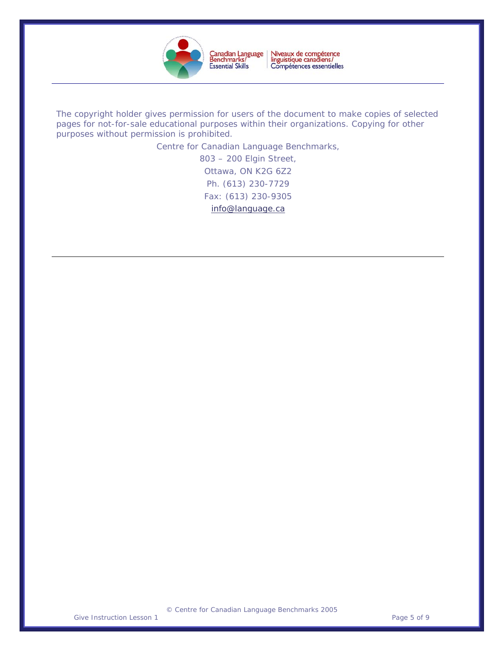

Niveaux de compétence<br>linguistique canadiens/<br>Compétences essentielles

*The copyright holder gives permission for users of the document to make copies of selected pages for not-for-sale educational purposes within their organizations. Copying for other purposes without permission is prohibited.* 

Centre for Canadian Language Benchmarks,

803 – 200 Elgin Street, Ottawa, ON K2G 6Z2 Ph. (613) 230-7729 Fax: (613) 230-9305 [info@language.ca](mailto:info@language.ca)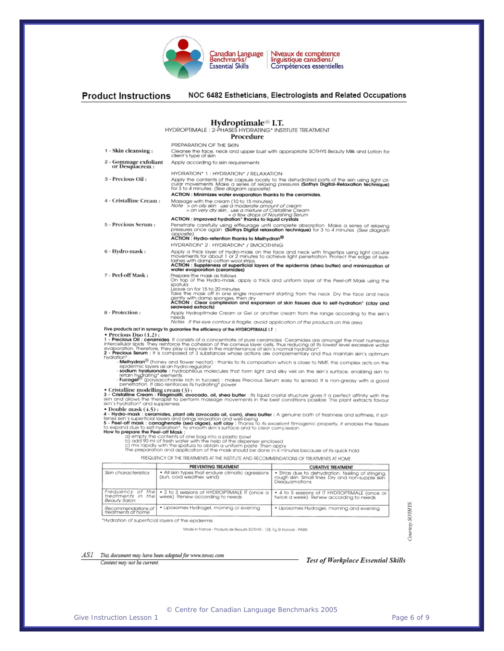

Niveaux de compétence<br>linguistique canadiens/ Compétences essentielles

#### **Product Instructions** NOC 6482 Estheticians, Electrologists and Related Occupations Hydroptimale<sup>®</sup> I.T. HYDROPTIMALE: 2-PHASES HYDRATING\* INSTITUTE TREATMENT Procedure PREPARATION OF THE SKIN Cleanse the face, neck and upper bust with appropriate SOTHYS Beauty Milk and Lotion for<br>client's type of skin 1 - Skin cleansing: 2 Gommage exfoliant<br>or Desquacrem : Apply according to skin requirements HYDRATION\* 1 : HYDRATION\* / RELAXATION Apply the contents of the capsule locally to the dehydrated parts of the skin using light circular movements Make a series of relaxing pressures (Sothys Digital-Relaxation technique) for 3 to 4 minutes. (See diagram opposi 3 - Precious Oil: ACTION : Minimizes water evaporation thanks to the ceramides Massage with the cream (10 to 15 minutes)<br>
Massage with the cream (10 to 15 minutes)<br>  $Note > on oily skin$  use a moderate amount of cream<br>  $> on very dry skin$  use a moderate amount of Cristaline Cre<br>  $ACIION: improved hydration* thanks to liquid crystals$ 4 - Cristalline Cream : erum Penetrate carefully using effleurage until complete absorption. Make a series of relaxing<br>pressures once again. (Sothys Digital relaxation technique) for 3 to 4 minutes. (See diagram<br>annostie) 5 - Precious Serum : ACTION : Hydro-retention thanks to Melhydran® HYDRATION\* 2: HYDRATION\* / SMOOTHING Apply a thick layer of Hydro-mask on the face and neck with fingertips using light circular movements for about 1 or 2 minutes to achieve light penetration. Protect the edge of eyellashes with damp cotton wool strips.<br>ACTI 6 - Hydro-mask: 7 - Peel-off Mask: Prepare the mask as follows<br>On top of the Hydro-mask, apply a thick and uniform layer of the Peel-off Mask using the spatula spatiud<br>Leave on for 15 to 20 minutes<br>Take the mask off in one single movement starting from the neck. Dry the face and neck<br>gently with damp sponges, then dry<br>**ACTION** : Clear complexion and expansion of skin tissues due searned example.<br>Apply Hydroptimale Cream or Gel or another cream from the range according to the skin's<br>Notes If the eye contour is fragile, avoid application of the products on this area 8 - Protection : Five products act in synergy to guarantee the efficiency of the HYDROPTIMALE I.T **Precious Drug (1.2):**<br> **• Precious Drug (1.2):**<br> **• Precious Drug (1.2):**<br> **• Precious Drug (1.2):**<br> **• Precious Drug (1.2):**<br> **• Precious Drug (1.2):**<br> **• Precious Premiers of Schipmenter of the connected of 3 substance** tion";<br>
Melhydran<sup>®</sup> (honey and flower nectar) : thanks to its composition which is close to NMF, this complex acts on the<br> **Melhydran**® (honey and flower nectar) : thanks to its composition which is close to NMF. this com • Cristalline modelling cream (3):<br>
3 - Cristalline Cream (3):<br>
Since the therapsis to perform massage movements in the best conditions possible the plant extracts favour<br>
skin and allows the therapsis to perform massage m skin's hydration" and suppleness<br>
• Double mask (4.5) :<br> **4 - Hydro-mask : ceramides, plant olls (avocado oil, corn), shea butter :** A genuine bath of freshness and softness, it softens skin's superficial layers and brings Freehoff music is compared to expand the total property, it enables to expand the best complete the Peel-off Mask.<br>How to peperte the Peel-off Mask in surface and to clear complexion<br>How to pepare the Peel-off Mask :<br>Objec FREQUENCY OF THE TREATMENTS AT THE INSTITUTE AND RECOMMENDATIONS OF TREATMENTS AT HOME PREVENTING TREATMENT **CURATIVE TREATMENT** • All skin types that endure climatic agressions<br>(sun, cold weather, wind) Skin characteristics • Strias due to dehydration, feeling of stinging.<br>rough skin Small lines Dry and non-supple skin rough skin Smal<br>Desquamations Frequency of the<br>treatments in the<br>Beauty Salon • 4 to 5 sessions of IT HYDROPTIMALE (once or<br>twice a week) Renew according to needs • 2 to 3 sessions of HYDROPTIMALE IT (once a<br>week) Renew according to needs Courtesy SOTHYS • Liposomes Hydrogel, morning or evening Recommendations of<br>treatments at home · Liposomes Hydrogel, morning and evening \*Hydration of superficial layers of the epidermis Made in France - Produits de Beauté SOTHYS - 128, Fg St-Honoré - PARIS

ASI This document may have been adapted for www.towes.com

Content may not be current.

Test of Workplace Essential Skills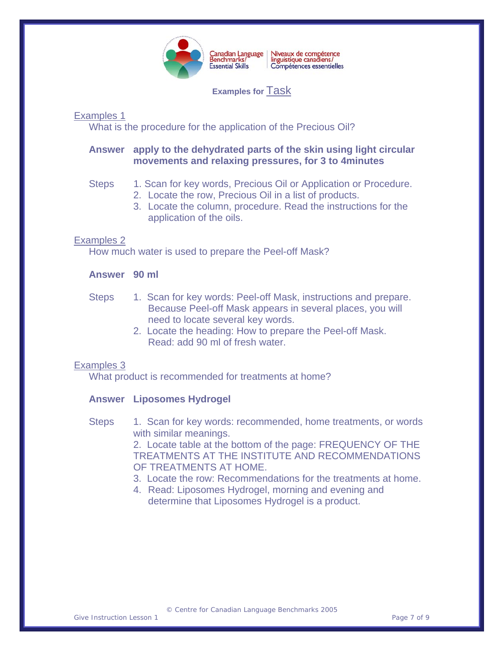

Niveaux de compétence<br>linguistique canadiens/<br>Compétences essentielles

**Examples for** Task

Examples 1

What is the procedure for the application of the Precious Oil?

# **Answer apply to the dehydrated parts of the skin using light circular movements and relaxing pressures, for 3 to 4minutes**

## Steps 1. Scan for key words, Precious Oil or Application or Procedure.

- 2. Locate the row, Precious Oil in a list of products.
- 3. Locate the column, procedure. Read the instructions for the application of the oils.

## Examples 2

How much water is used to prepare the Peel-off Mask?

## **Answer 90 ml**

- Steps 1. Scan for key words: Peel-off Mask, instructions and prepare. Because Peel-off Mask appears in several places, you will need to locate several key words.
	- 2. Locate the heading: How to prepare the Peel-off Mask. Read: add 90 ml of fresh water.

### Examples 3

What product is recommended for treatments at home?

# **Answer Liposomes Hydrogel**

Steps 1. Scan for key words: recommended, home treatments, or words with similar meanings.

2. Locate table at the bottom of the page: FREQUENCY OF THE TREATMENTS AT THE INSTITUTE AND RECOMMENDATIONS OF TREATMENTS AT HOME.

- 3. Locate the row: Recommendations for the treatments at home.
- 4. Read: Liposomes Hydrogel, morning and evening and determine that Liposomes Hydrogel is a product.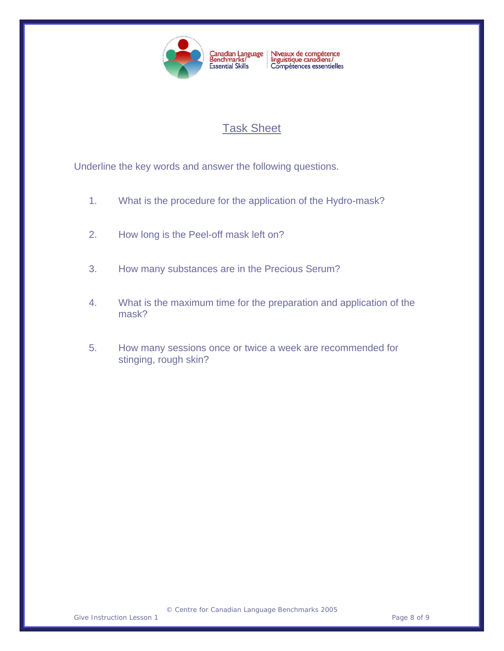

# Task Sheet

Underline the key words and answer the following questions.

- 1. What is the procedure for the application of the Hydro-mask?
- 2. How long is the Peel-off mask left on?
- 3. How many substances are in the Precious Serum?
- 4. What is the maximum time for the preparation and application of the mask?
- 5. How many sessions once or twice a week are recommended for stinging, rough skin?